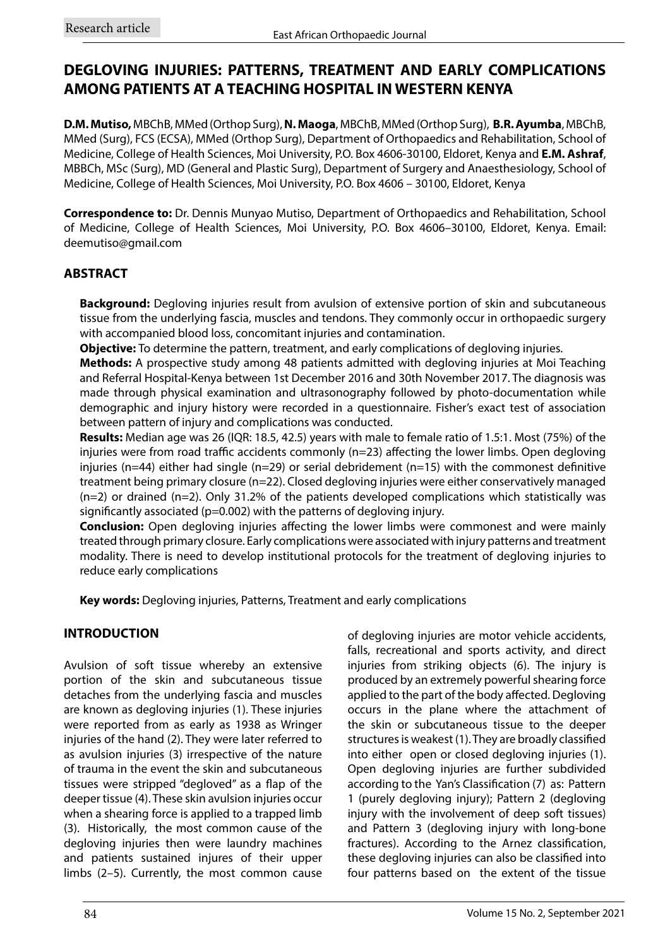# **DEGLOVING INJURIES: PATTERNS, TREATMENT AND EARLY COMPLICATIONS AMONG PATIENTS AT A TEACHING HOSPITAL IN WESTERN KENYA**

**D.M. Mutiso,** MBChB, MMed (Orthop Surg), **N. Maoga**, MBChB, MMed (Orthop Surg), **B.R. Ayumba**, MBChB, MMed (Surg), FCS (ECSA), MMed (Orthop Surg), Department of Orthopaedics and Rehabilitation, School of Medicine, College of Health Sciences, Moi University, P.O. Box 4606-30100, Eldoret, Kenya and **E.M. Ashraf**, MBBCh, MSc (Surg), MD (General and Plastic Surg), Department of Surgery and Anaesthesiology, School of Medicine, College of Health Sciences, Moi University, P.O. Box 4606 – 30100, Eldoret, Kenya

**Correspondence to:** Dr. Dennis Munyao Mutiso, Department of Orthopaedics and Rehabilitation, School of Medicine, College of Health Sciences, Moi University, P.O. Box 4606–30100, Eldoret, Kenya. Email: deemutiso@gmail.com

# **ABSTRACT**

**Background:** Degloving injuries result from avulsion of extensive portion of skin and subcutaneous tissue from the underlying fascia, muscles and tendons. They commonly occur in orthopaedic surgery with accompanied blood loss, concomitant injuries and contamination.

**Objective:** To determine the pattern, treatment, and early complications of degloving injuries.

**Methods:** A prospective study among 48 patients admitted with degloving injuries at Moi Teaching and Referral Hospital-Kenya between 1st December 2016 and 30th November 2017. The diagnosis was made through physical examination and ultrasonography followed by photo-documentation while demographic and injury history were recorded in a questionnaire. Fisher's exact test of association between pattern of injury and complications was conducted.

**Results:** Median age was 26 (IQR: 18.5, 42.5) years with male to female ratio of 1.5:1. Most (75%) of the injuries were from road traffic accidents commonly (n=23) affecting the lower limbs. Open degloving injuries ( $n=44$ ) either had single ( $n=29$ ) or serial debridement ( $n=15$ ) with the commonest definitive treatment being primary closure (n=22). Closed degloving injuries were either conservatively managed  $(n=2)$  or drained  $(n=2)$ . Only 31.2% of the patients developed complications which statistically was significantly associated (p=0.002) with the patterns of degloving injury.

**Conclusion:** Open degloving injuries affecting the lower limbs were commonest and were mainly treated through primary closure. Early complications were associated with injury patterns and treatment modality. There is need to develop institutional protocols for the treatment of degloving injuries to reduce early complications

**Key words:** Degloving injuries, Patterns, Treatment and early complications

# **INTRODUCTION**

Avulsion of soft tissue whereby an extensive portion of the skin and subcutaneous tissue detaches from the underlying fascia and muscles are known as degloving injuries (1). These injuries were reported from as early as 1938 as Wringer injuries of the hand (2). They were later referred to as avulsion injuries (3) irrespective of the nature of trauma in the event the skin and subcutaneous tissues were stripped "degloved" as a flap of the deeper tissue (4). These skin avulsion injuries occur when a shearing force is applied to a trapped limb (3). Historically, the most common cause of the degloving injuries then were laundry machines and patients sustained injures of their upper limbs (2–5). Currently, the most common cause

the skin or subcutaneous tissue to the deeper structures is weakest (1). They are broadly classified into either open or closed degloving injuries (1). Open degloving injuries are further subdivided according to the Yan's Classification (7) as: Pattern 1 (purely degloving injury); Pattern 2 (degloving injury with the involvement of deep soft tissues) and Pattern 3 (degloving injury with long-bone fractures). According to the Arnez classification, these degloving injuries can also be classified into four patterns based on the extent of the tissue

of degloving injuries are motor vehicle accidents, falls, recreational and sports activity, and direct injuries from striking objects (6). The injury is produced by an extremely powerful shearing force applied to the part of the body affected. Degloving occurs in the plane where the attachment of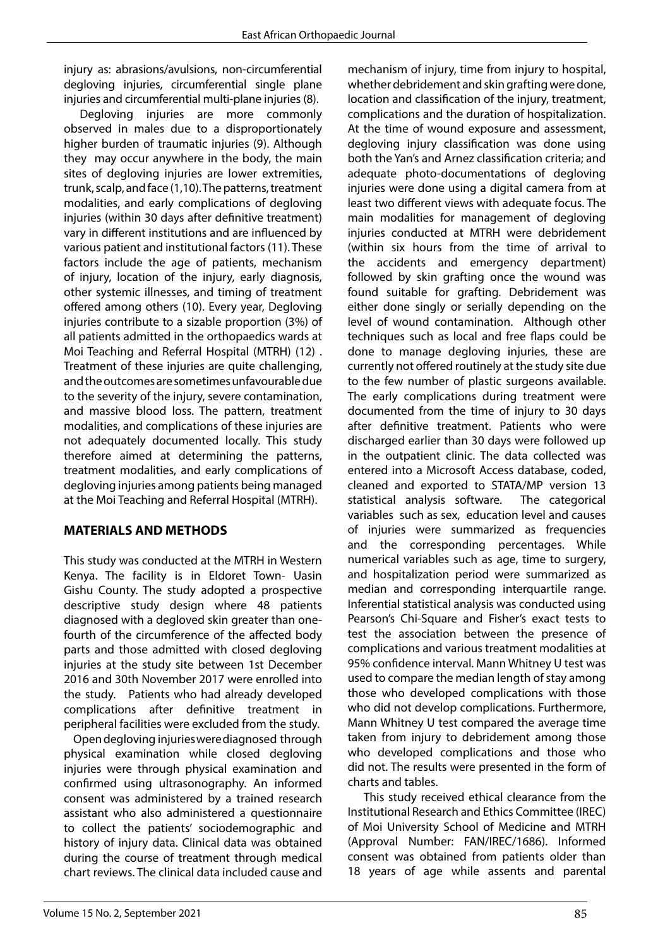injury as: abrasions/avulsions, non-circumferential degloving injuries, circumferential single plane injuries and circumferential multi-plane injuries (8).

Degloving injuries are more commonly observed in males due to a disproportionately higher burden of traumatic injuries (9). Although they may occur anywhere in the body, the main sites of degloving injuries are lower extremities, trunk, scalp, and face (1,10). The patterns, treatment modalities, and early complications of degloving injuries (within 30 days after definitive treatment) vary in different institutions and are influenced by various patient and institutional factors (11). These factors include the age of patients, mechanism of injury, location of the injury, early diagnosis, other systemic illnesses, and timing of treatment offered among others (10). Every year, Degloving injuries contribute to a sizable proportion (3%) of all patients admitted in the orthopaedics wards at Moi Teaching and Referral Hospital (MTRH) (12) . Treatment of these injuries are quite challenging, and the outcomes are sometimes unfavourable due to the severity of the injury, severe contamination, and massive blood loss. The pattern, treatment modalities, and complications of these injuries are not adequately documented locally. This study therefore aimed at determining the patterns, treatment modalities, and early complications of degloving injuries among patients being managed at the Moi Teaching and Referral Hospital (MTRH).

# **MATERIALS AND METHODS**

This study was conducted at the MTRH in Western Kenya. The facility is in Eldoret Town- Uasin Gishu County. The study adopted a prospective descriptive study design where 48 patients diagnosed with a degloved skin greater than onefourth of the circumference of the affected body parts and those admitted with closed degloving injuries at the study site between 1st December 2016 and 30th November 2017 were enrolled into the study. Patients who had already developed complications after definitive treatment in peripheral facilities were excluded from the study.

Open degloving injuries were diagnosed through physical examination while closed degloving injuries were through physical examination and confirmed using ultrasonography. An informed consent was administered by a trained research assistant who also administered a questionnaire to collect the patients' sociodemographic and history of injury data. Clinical data was obtained during the course of treatment through medical chart reviews. The clinical data included cause and

mechanism of injury, time from injury to hospital, whether debridement and skin grafting were done, location and classification of the injury, treatment, complications and the duration of hospitalization. At the time of wound exposure and assessment, degloving injury classification was done using both the Yan's and Arnez classification criteria; and adequate photo-documentations of degloving injuries were done using a digital camera from at least two different views with adequate focus. The main modalities for management of degloving injuries conducted at MTRH were debridement (within six hours from the time of arrival to the accidents and emergency department) followed by skin grafting once the wound was found suitable for grafting. Debridement was either done singly or serially depending on the level of wound contamination. Although other techniques such as local and free flaps could be done to manage degloving injuries, these are currently not offered routinely at the study site due to the few number of plastic surgeons available. The early complications during treatment were documented from the time of injury to 30 days after definitive treatment. Patients who were discharged earlier than 30 days were followed up in the outpatient clinic. The data collected was entered into a Microsoft Access database, coded, cleaned and exported to STATA/MP version 13 statistical analysis software. The categorical variables such as sex, education level and causes of injuries were summarized as frequencies and the corresponding percentages. While numerical variables such as age, time to surgery, and hospitalization period were summarized as median and corresponding interquartile range. Inferential statistical analysis was conducted using Pearson's Chi-Square and Fisher's exact tests to test the association between the presence of complications and various treatment modalities at 95% confidence interval. Mann Whitney U test was used to compare the median length of stay among those who developed complications with those who did not develop complications. Furthermore, Mann Whitney U test compared the average time taken from injury to debridement among those who developed complications and those who did not. The results were presented in the form of charts and tables.

This study received ethical clearance from the Institutional Research and Ethics Committee (IREC) of Moi University School of Medicine and MTRH (Approval Number: FAN/IREC/1686). Informed consent was obtained from patients older than 18 years of age while assents and parental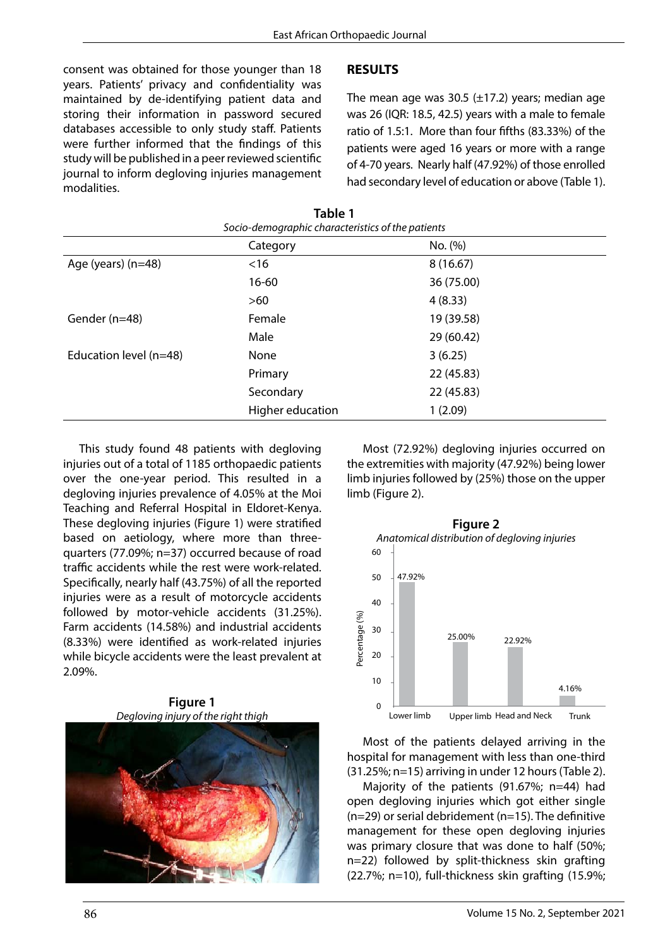consent was obtained for those younger than 18 years. Patients' privacy and confidentiality was maintained by de-identifying patient data and storing their information in password secured databases accessible to only study staff. Patients were further informed that the findings of this study will be published in a peer reviewed scientific journal to inform degloving injuries management modalities.

#### **RESULTS**

The mean age was 30.5  $(\pm 17.2)$  years; median age was 26 (IQR: 18.5, 42.5) years with a male to female ratio of 1.5:1. More than four fifths (83.33%) of the patients were aged 16 years or more with a range of 4-70 years. Nearly half (47.92%) of those enrolled had secondary level of education or above (Table 1).

| Socio-demographic characteristics of the patients |                  |            |
|---------------------------------------------------|------------------|------------|
|                                                   | Category         | No. (%)    |
| Age (years) (n=48)                                | $<$ 16           | 8(16.67)   |
|                                                   | $16 - 60$        | 36 (75.00) |
|                                                   | $>60$            | 4(8.33)    |
| Gender (n=48)                                     | Female           | 19 (39.58) |
|                                                   | Male             | 29 (60.42) |
| Education level (n=48)                            | None             | 3(6.25)    |
|                                                   | Primary          | 22(45.83)  |
|                                                   | Secondary        | 22(45.83)  |
|                                                   | Higher education | 1(2.09)    |

**Table 1**

This study found 48 patients with degloving injuries out of a total of 1185 orthopaedic patients over the one-year period. This resulted in a degloving injuries prevalence of 4.05% at the Moi Teaching and Referral Hospital in Eldoret-Kenya. These degloving injuries (Figure 1) were stratified based on aetiology, where more than threequarters (77.09%; n=37) occurred because of road traffic accidents while the rest were work-related. Specifically, nearly half (43.75%) of all the reported injuries were as a result of motorcycle accidents followed by motor-vehicle accidents (31.25%). Farm accidents (14.58%) and industrial accidents (8.33%) were identified as work-related injuries while bicycle accidents were the least prevalent at 2.09%.

**Figure 1** *Degloving injury of the right thigh*



Most (72.92%) degloving injuries occurred on the extremities with majority (47.92%) being lower limb injuries followed by (25%) those on the upper limb (Figure 2).



Most of the patients delayed arriving in the hospital for management with less than one-third (31.25%; n=15) arriving in under 12 hours (Table 2).

Majority of the patients (91.67%; n=44) had open degloving injuries which got either single (n=29) or serial debridement (n=15). The definitive management for these open degloving injuries was primary closure that was done to half (50%; n=22) followed by split-thickness skin grafting (22.7%; n=10), full-thickness skin grafting (15.9%;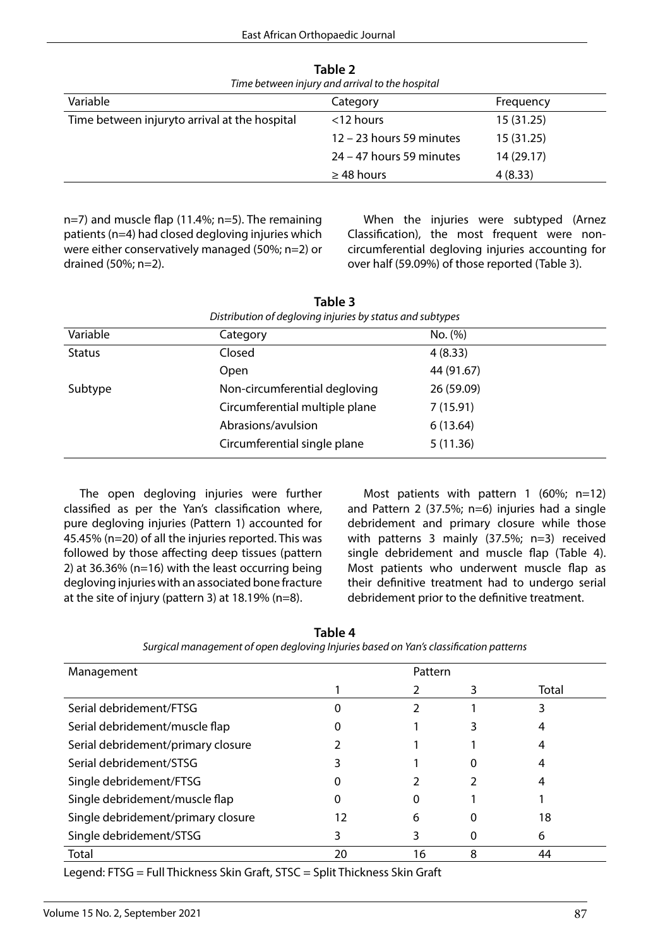| Time between injury and arrival to the hospital |                            |            |  |
|-------------------------------------------------|----------------------------|------------|--|
| Variable                                        | Category                   | Frequency  |  |
| Time between injuryto arrival at the hospital   | $<$ 12 hours               | 15 (31.25) |  |
|                                                 | 12 - 23 hours 59 minutes   | 15(31.25)  |  |
|                                                 | $24 - 47$ hours 59 minutes | 14 (29.17) |  |
|                                                 | $\geq$ 48 hours            | 4(8.33)    |  |

**Table 2**

n=7) and muscle flap (11.4%; n=5). The remaining patients (n=4) had closed degloving injuries which were either conservatively managed (50%; n=2) or drained (50%; n=2).

When the injuries were subtyped (Arnez Classification), the most frequent were noncircumferential degloving injuries accounting for over half (59.09%) of those reported (Table 3).

| Distribution of degloving injuries by status and subtypes |                                |            |
|-----------------------------------------------------------|--------------------------------|------------|
| Variable                                                  | Category                       | No. (%)    |
| <b>Status</b>                                             | Closed                         | 4(8.33)    |
|                                                           | <b>Open</b>                    | 44 (91.67) |
| Subtype                                                   | Non-circumferential degloving  | 26 (59.09) |
|                                                           | Circumferential multiple plane | 7(15.91)   |
|                                                           | Abrasions/avulsion             | 6(13.64)   |
|                                                           | Circumferential single plane   | 5(11.36)   |

**Table 3**

The open degloving injuries were further classified as per the Yan's classification where, pure degloving injuries (Pattern 1) accounted for 45.45% (n=20) of all the injuries reported. This was followed by those affecting deep tissues (pattern 2) at 36.36% (n=16) with the least occurring being degloving injuries with an associated bone fracture at the site of injury (pattern 3) at 18.19% (n=8).

Most patients with pattern 1 (60%; n=12) and Pattern 2 (37.5%; n=6) injuries had a single debridement and primary closure while those with patterns 3 mainly (37.5%; n=3) received single debridement and muscle flap (Table 4). Most patients who underwent muscle flap as their definitive treatment had to undergo serial debridement prior to the definitive treatment.

| Surgical management of open degloving injuries based on Yan's classification patterns |         |    |   |       |
|---------------------------------------------------------------------------------------|---------|----|---|-------|
| Management                                                                            | Pattern |    |   |       |
|                                                                                       |         |    | 3 | Total |
| Serial debridement/FTSG                                                               |         |    |   |       |
| Serial debridement/muscle flap                                                        |         |    |   |       |
| Serial debridement/primary closure                                                    |         |    |   |       |
| Serial debridement/STSG                                                               |         |    |   |       |
| Single debridement/FTSG                                                               |         |    |   |       |
| Single debridement/muscle flap                                                        |         |    |   |       |
| Single debridement/primary closure                                                    | 12      | 6  |   | 18    |
| Single debridement/STSG                                                               |         |    |   | 6     |
| Total                                                                                 | 20      | 16 | 8 | 44    |

**Table 4**

*Surgical management of open degloving Injuries based on Yan's classification patterns*

Legend: FTSG = Full Thickness Skin Graft, STSC = Split Thickness Skin Graft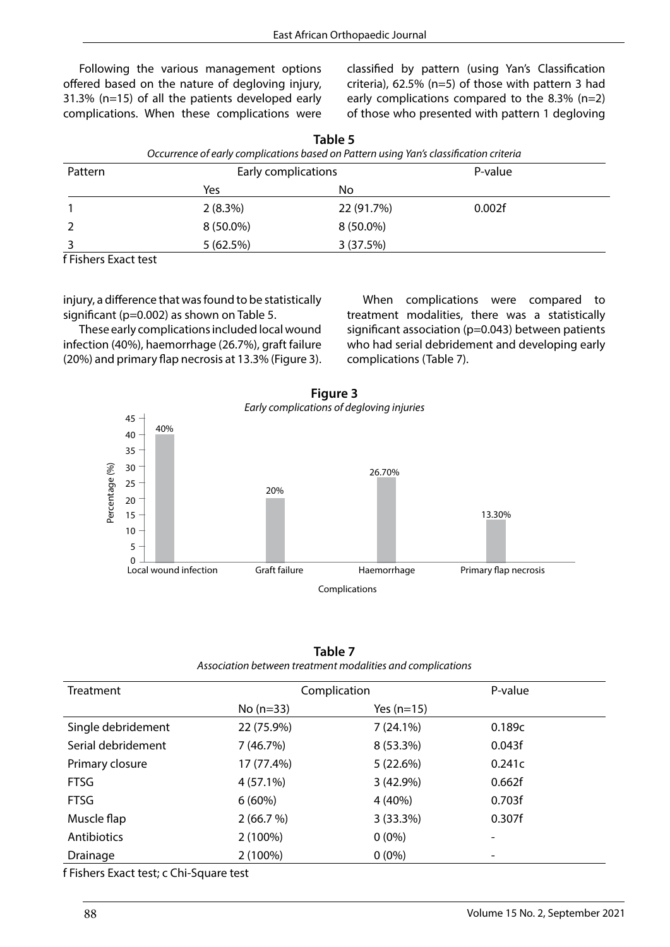Following the various management options offered based on the nature of degloving injury, 31.3% (n=15) of all the patients developed early complications. When these complications were

classified by pattern (using Yan's Classification criteria), 62.5% (n=5) of those with pattern 3 had early complications compared to the 8.3% (n=2) of those who presented with pattern 1 degloving

| Occurrence of early complications based on Pattern using Yan's classification criteria |                     |            |         |  |
|----------------------------------------------------------------------------------------|---------------------|------------|---------|--|
| Pattern                                                                                | Early complications |            | P-value |  |
|                                                                                        | Yes                 | No         |         |  |
|                                                                                        | 2(8.3%)             | 22 (91.7%) | 0.002f  |  |
|                                                                                        | $8(50.0\%)$         | 8 (50.0%)  |         |  |
| .                                                                                      | 5(62.5%)            | 3(37.5%)   |         |  |

**Table 5**

f Fishers Exact test

injury, a difference that was found to be statistically significant (p=0.002) as shown on Table 5.

These early complications included local wound infection (40%), haemorrhage (26.7%), graft failure (20%) and primary flap necrosis at 13.3% (Figure 3).

When complications were compared to treatment modalities, there was a statistically significant association (p=0.043) between patients who had serial debridement and developing early complications (Table 7).



| Figure 3                              |
|---------------------------------------|
| Early complications of degloving inju |

| Table 7                                                    |
|------------------------------------------------------------|
| Association between treatment modalities and complications |

| <b>Treatment</b>   | Complication |              | P-value |
|--------------------|--------------|--------------|---------|
|                    | $No (n=33)$  | Yes $(n=15)$ |         |
| Single debridement | 22 (75.9%)   | $7(24.1\%)$  | 0.189c  |
| Serial debridement | 7(46.7%)     | 8 (53.3%)    | 0.043f  |
| Primary closure    | 17 (77.4%)   | 5(22.6%)     | 0.241c  |
| <b>FTSG</b>        | $4(57.1\%)$  | 3(42.9%)     | 0.662f  |
| <b>FTSG</b>        | 6(60%)       | 4 (40%)      | 0.703f  |
| Muscle flap        | 2(66.7%)     | 3(33.3%)     | 0.307f  |
| Antibiotics        | 2 (100%)     | $0(0\%)$     |         |
| Drainage           | 2 (100%)     | $0(0\%)$     |         |

f Fishers Exact test; c Chi-Square test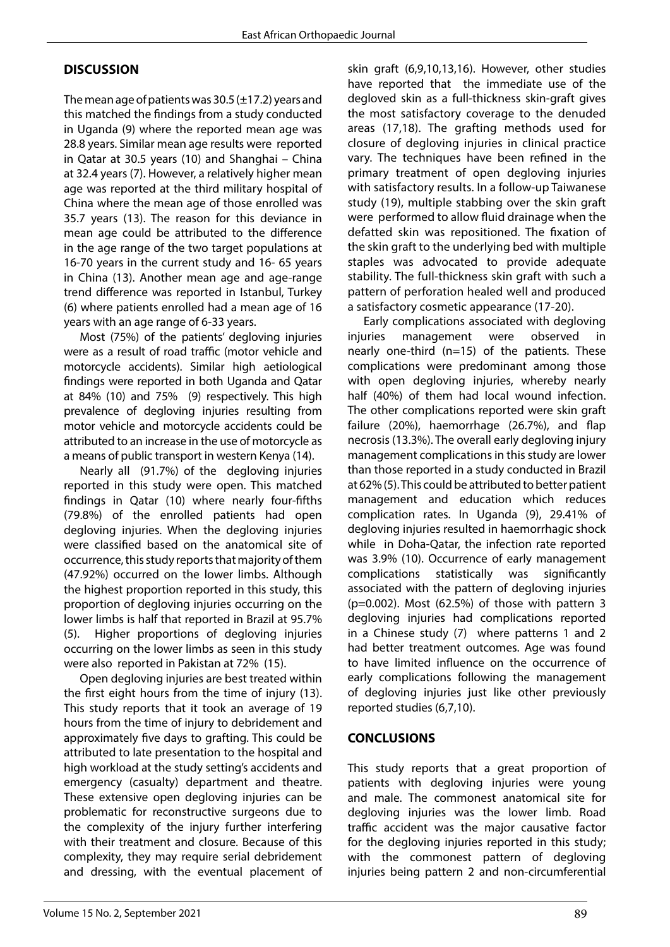# **DISCUSSION**

The mean age of patients was 30.5  $(\pm 17.2)$  years and this matched the findings from a study conducted in Uganda (9) where the reported mean age was 28.8 years. Similar mean age results were reported in Qatar at 30.5 years (10) and Shanghai – China at 32.4 years (7). However, a relatively higher mean age was reported at the third military hospital of China where the mean age of those enrolled was 35.7 years (13). The reason for this deviance in mean age could be attributed to the difference in the age range of the two target populations at 16-70 years in the current study and 16- 65 years in China (13). Another mean age and age-range trend difference was reported in Istanbul, Turkey (6) where patients enrolled had a mean age of 16 years with an age range of 6-33 years.

Most (75%) of the patients' degloving injuries were as a result of road traffic (motor vehicle and motorcycle accidents). Similar high aetiological findings were reported in both Uganda and Qatar at 84% (10) and 75% (9) respectively. This high prevalence of degloving injuries resulting from motor vehicle and motorcycle accidents could be attributed to an increase in the use of motorcycle as a means of public transport in western Kenya (14).

Nearly all (91.7%) of the degloving injuries reported in this study were open. This matched findings in Qatar (10) where nearly four-fifths (79.8%) of the enrolled patients had open degloving injuries. When the degloving injuries were classified based on the anatomical site of occurrence, this study reports that majority of them (47.92%) occurred on the lower limbs. Although the highest proportion reported in this study, this proportion of degloving injuries occurring on the lower limbs is half that reported in Brazil at 95.7% (5). Higher proportions of degloving injuries occurring on the lower limbs as seen in this study were also reported in Pakistan at 72% (15).

Open degloving injuries are best treated within the first eight hours from the time of injury (13). This study reports that it took an average of 19 hours from the time of injury to debridement and approximately five days to grafting. This could be attributed to late presentation to the hospital and high workload at the study setting's accidents and emergency (casualty) department and theatre. These extensive open degloving injuries can be problematic for reconstructive surgeons due to the complexity of the injury further interfering with their treatment and closure. Because of this complexity, they may require serial debridement and dressing, with the eventual placement of

skin graft (6,9,10,13,16). However, other studies have reported that the immediate use of the degloved skin as a full-thickness skin-graft gives the most satisfactory coverage to the denuded areas (17,18). The grafting methods used for closure of degloving injuries in clinical practice vary. The techniques have been refined in the primary treatment of open degloving injuries with satisfactory results. In a follow-up Taiwanese study (19), multiple stabbing over the skin graft were performed to allow fluid drainage when the defatted skin was repositioned. The fixation of the skin graft to the underlying bed with multiple staples was advocated to provide adequate stability. The full-thickness skin graft with such a pattern of perforation healed well and produced a satisfactory cosmetic appearance (17-20).

Early complications associated with degloving injuries management were observed in nearly one-third (n=15) of the patients. These complications were predominant among those with open degloving injuries, whereby nearly half (40%) of them had local wound infection. The other complications reported were skin graft failure (20%), haemorrhage (26.7%), and flap necrosis (13.3%). The overall early degloving injury management complications in this study are lower than those reported in a study conducted in Brazil at 62% (5). This could be attributed to better patient management and education which reduces complication rates. In Uganda (9), 29.41% of degloving injuries resulted in haemorrhagic shock while in Doha-Qatar, the infection rate reported was 3.9% (10). Occurrence of early management complications statistically was significantly associated with the pattern of degloving injuries  $(p=0.002)$ . Most  $(62.5%)$  of those with pattern 3 degloving injuries had complications reported in a Chinese study (7) where patterns 1 and 2 had better treatment outcomes. Age was found to have limited influence on the occurrence of early complications following the management of degloving injuries just like other previously reported studies (6,7,10).

# **CONCLUSIONS**

This study reports that a great proportion of patients with degloving injuries were young and male. The commonest anatomical site for degloving injuries was the lower limb. Road traffic accident was the major causative factor for the degloving injuries reported in this study; with the commonest pattern of degloving injuries being pattern 2 and non-circumferential